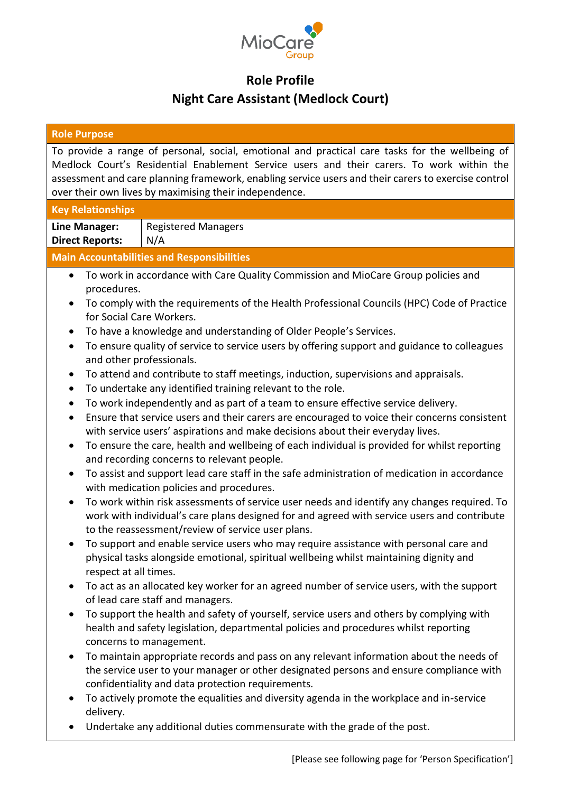

## **Role Profile**

## **Night Care Assistant (Medlock Court)**

| <b>Role Purpose</b>                                                                                                                                                                                                                                                                                                                                           |                                                                                                                                                                                                                                                                                                                                                                                                                                                                                                                                                                                                                                                                                                                                                                                                                                                                                                                                                                                                                                                                                                                                                                                                                                                                                                                                                                                                                                                                                                                                                                                                                                                                                                                                               |  |  |
|---------------------------------------------------------------------------------------------------------------------------------------------------------------------------------------------------------------------------------------------------------------------------------------------------------------------------------------------------------------|-----------------------------------------------------------------------------------------------------------------------------------------------------------------------------------------------------------------------------------------------------------------------------------------------------------------------------------------------------------------------------------------------------------------------------------------------------------------------------------------------------------------------------------------------------------------------------------------------------------------------------------------------------------------------------------------------------------------------------------------------------------------------------------------------------------------------------------------------------------------------------------------------------------------------------------------------------------------------------------------------------------------------------------------------------------------------------------------------------------------------------------------------------------------------------------------------------------------------------------------------------------------------------------------------------------------------------------------------------------------------------------------------------------------------------------------------------------------------------------------------------------------------------------------------------------------------------------------------------------------------------------------------------------------------------------------------------------------------------------------------|--|--|
| To provide a range of personal, social, emotional and practical care tasks for the wellbeing of<br>Medlock Court's Residential Enablement Service users and their carers. To work within the<br>assessment and care planning framework, enabling service users and their carers to exercise control<br>over their own lives by maximising their independence. |                                                                                                                                                                                                                                                                                                                                                                                                                                                                                                                                                                                                                                                                                                                                                                                                                                                                                                                                                                                                                                                                                                                                                                                                                                                                                                                                                                                                                                                                                                                                                                                                                                                                                                                                               |  |  |
| <b>Key Relationships</b>                                                                                                                                                                                                                                                                                                                                      |                                                                                                                                                                                                                                                                                                                                                                                                                                                                                                                                                                                                                                                                                                                                                                                                                                                                                                                                                                                                                                                                                                                                                                                                                                                                                                                                                                                                                                                                                                                                                                                                                                                                                                                                               |  |  |
| <b>Line Manager:</b>                                                                                                                                                                                                                                                                                                                                          | <b>Registered Managers</b>                                                                                                                                                                                                                                                                                                                                                                                                                                                                                                                                                                                                                                                                                                                                                                                                                                                                                                                                                                                                                                                                                                                                                                                                                                                                                                                                                                                                                                                                                                                                                                                                                                                                                                                    |  |  |
| <b>Direct Reports:</b>                                                                                                                                                                                                                                                                                                                                        | N/A                                                                                                                                                                                                                                                                                                                                                                                                                                                                                                                                                                                                                                                                                                                                                                                                                                                                                                                                                                                                                                                                                                                                                                                                                                                                                                                                                                                                                                                                                                                                                                                                                                                                                                                                           |  |  |
|                                                                                                                                                                                                                                                                                                                                                               | <b>Main Accountabilities and Responsibilities</b>                                                                                                                                                                                                                                                                                                                                                                                                                                                                                                                                                                                                                                                                                                                                                                                                                                                                                                                                                                                                                                                                                                                                                                                                                                                                                                                                                                                                                                                                                                                                                                                                                                                                                             |  |  |
| $\bullet$<br>procedures.<br>$\bullet$<br>for Social Care Workers.<br>$\bullet$<br>$\bullet$<br>and other professionals.<br>$\bullet$<br>٠<br>٠<br>٠<br>$\bullet$<br>٠<br>$\bullet$<br>respect at all times.<br>$\bullet$<br>$\bullet$                                                                                                                         | To work in accordance with Care Quality Commission and MioCare Group policies and<br>To comply with the requirements of the Health Professional Councils (HPC) Code of Practice<br>To have a knowledge and understanding of Older People's Services.<br>To ensure quality of service to service users by offering support and guidance to colleagues<br>To attend and contribute to staff meetings, induction, supervisions and appraisals.<br>To undertake any identified training relevant to the role.<br>To work independently and as part of a team to ensure effective service delivery.<br>Ensure that service users and their carers are encouraged to voice their concerns consistent<br>with service users' aspirations and make decisions about their everyday lives.<br>To ensure the care, health and wellbeing of each individual is provided for whilst reporting<br>and recording concerns to relevant people.<br>To assist and support lead care staff in the safe administration of medication in accordance<br>with medication policies and procedures.<br>To work within risk assessments of service user needs and identify any changes required. To<br>work with individual's care plans designed for and agreed with service users and contribute<br>to the reassessment/review of service user plans.<br>To support and enable service users who may require assistance with personal care and<br>physical tasks alongside emotional, spiritual wellbeing whilst maintaining dignity and<br>To act as an allocated key worker for an agreed number of service users, with the support<br>of lead care staff and managers.<br>To support the health and safety of yourself, service users and others by complying with |  |  |
| $\bullet$                                                                                                                                                                                                                                                                                                                                                     | health and safety legislation, departmental policies and procedures whilst reporting<br>concerns to management.<br>To maintain appropriate records and pass on any relevant information about the needs of<br>the service user to your manager or other designated persons and ensure compliance with<br>confidentiality and data protection requirements.                                                                                                                                                                                                                                                                                                                                                                                                                                                                                                                                                                                                                                                                                                                                                                                                                                                                                                                                                                                                                                                                                                                                                                                                                                                                                                                                                                                    |  |  |
| $\bullet$<br>delivery.                                                                                                                                                                                                                                                                                                                                        | To actively promote the equalities and diversity agenda in the workplace and in-service<br>Undertake any additional duties commensurate with the grade of the post.                                                                                                                                                                                                                                                                                                                                                                                                                                                                                                                                                                                                                                                                                                                                                                                                                                                                                                                                                                                                                                                                                                                                                                                                                                                                                                                                                                                                                                                                                                                                                                           |  |  |
|                                                                                                                                                                                                                                                                                                                                                               |                                                                                                                                                                                                                                                                                                                                                                                                                                                                                                                                                                                                                                                                                                                                                                                                                                                                                                                                                                                                                                                                                                                                                                                                                                                                                                                                                                                                                                                                                                                                                                                                                                                                                                                                               |  |  |